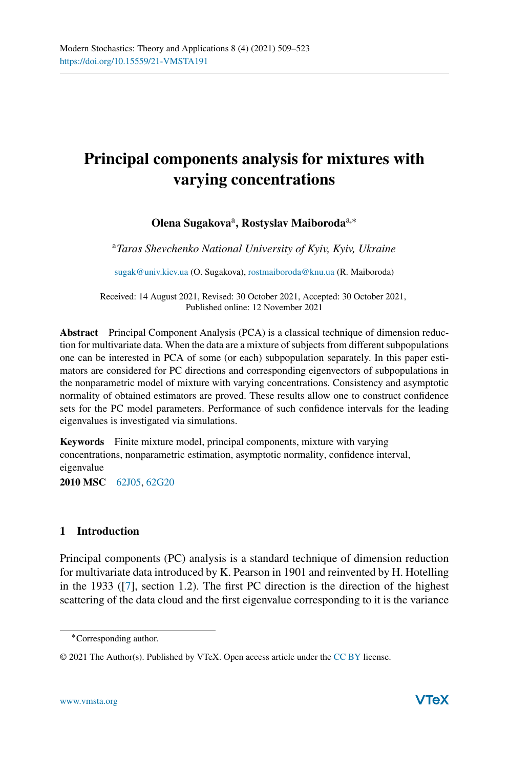# **Principal components analysis for mixtures with varying concentrations**

# **Olena Sugakova**a**, Rostyslav Maiboroda**a,<sup>∗</sup>

<sup>a</sup>*Taras Shevchenko National University of Kyiv, Kyiv, Ukraine*

[sugak@univ.kiev.ua](mailto:sugak@univ.kiev.ua) (O. Sugakova), [rostmaiboroda@knu.ua](mailto:rostmaiboroda@knu.ua) (R. Maiboroda)

Received: 14 August 2021, Revised: 30 October 2021, Accepted: 30 October 2021, Published online: 12 November 2021

**Abstract** Principal Component Analysis (PCA) is a classical technique of dimension reduction for multivariate data. When the data are a mixture of subjects from different subpopulations one can be interested in PCA of some (or each) subpopulation separately. In this paper estimators are considered for PC directions and corresponding eigenvectors of subpopulations in the nonparametric model of mixture with varying concentrations. Consistency and asymptotic normality of obtained estimators are proved. These results allow one to construct confidence sets for the PC model parameters. Performance of such confidence intervals for the leading eigenvalues is investigated via simulations.

**Keywords** Finite mixture model, principal components, mixture with varying concentrations, nonparametric estimation, asymptotic normality, confidence interval, eigenvalue

**2010 MSC** [62J05,](http://www.ams.org/msc/msc2010.html?s=62J05) [62G20](http://www.ams.org/msc/msc2010.html?s=62G20)

# **1 Introduction**

Principal components (PC) analysis is a standard technique of dimension reduction for multivariate data introduced by K. Pearson in 1901 and reinvented by H. Hotelling in the 1933 ([\[7\]](#page-13-0), section 1.2). The first PC direction is the direction of the highest scattering of the data cloud and the first eigenvalue corresponding to it is the variance

<sup>∗</sup>Corresponding author.

<sup>© 2021</sup> The Author(s). Published by VTeX. Open access article under the [CC BY](http://creativecommons.org/licenses/by/4.0/) license.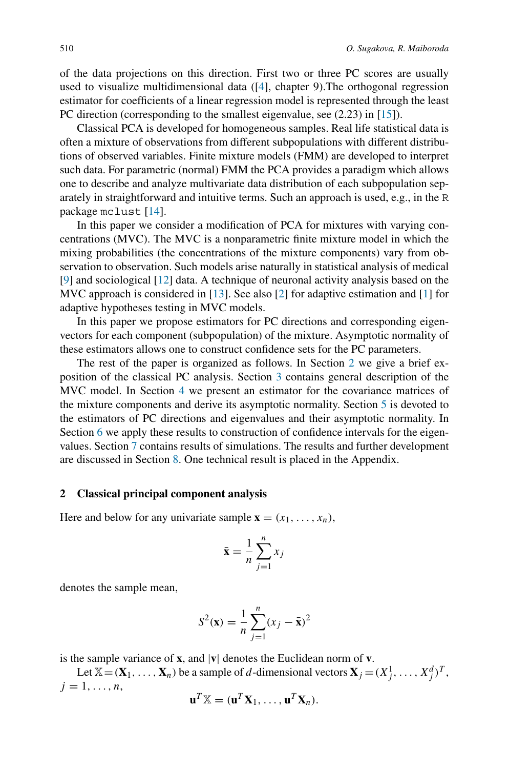of the data projections on this direction. First two or three PC scores are usually used to visualize multidimensional data ([\[4](#page-13-1)], chapter 9).The orthogonal regression estimator for coefficients of a linear regression model is represented through the least PC direction (corresponding to the smallest eigenvalue, see (2.23) in [\[15](#page-14-0)]).

Classical PCA is developed for homogeneous samples. Real life statistical data is often a mixture of observations from different subpopulations with different distributions of observed variables. Finite mixture models (FMM) are developed to interpret such data. For parametric (normal) FMM the PCA provides a paradigm which allows one to describe and analyze multivariate data distribution of each subpopulation separately in straightforward and intuitive terms. Such an approach is used, e.g., in the R package mclust [\[14\]](#page-14-1).

In this paper we consider a modification of PCA for mixtures with varying concentrations (MVC). The MVC is a nonparametric finite mixture model in which the mixing probabilities (the concentrations of the mixture components) vary from observation to observation. Such models arise naturally in statistical analysis of medical [\[9](#page-13-2)] and sociological [\[12\]](#page-14-2) data. A technique of neuronal activity analysis based on the MVC approach is considered in [\[13](#page-14-3)]. See also [\[2\]](#page-13-3) for adaptive estimation and [\[1\]](#page-13-4) for adaptive hypotheses testing in MVC models.

In this paper we propose estimators for PC directions and corresponding eigenvectors for each component (subpopulation) of the mixture. Asymptotic normality of these estimators allows one to construct confidence sets for the PC parameters.

The rest of the paper is organized as follows. In Section [2](#page-1-0) we give a brief exposition of the classical PC analysis. Section [3](#page-2-0) contains general description of the MVC model. In Section [4](#page-4-0) we present an estimator for the covariance matrices of the mixture components and derive its asymptotic normality. Section [5](#page-7-0) is devoted to the estimators of PC directions and eigenvalues and their asymptotic normality. In Section [6](#page-9-0) we apply these results to construction of confidence intervals for the eigenvalues. Section [7](#page-10-0) contains results of simulations. The results and further development are discussed in Section [8.](#page-11-0) One technical result is placed in the Appendix.

#### <span id="page-1-0"></span>**2 Classical principal component analysis**

Here and below for any univariate sample  $\mathbf{x} = (x_1, \ldots, x_n)$ ,

$$
\bar{\mathbf{x}} = \frac{1}{n} \sum_{j=1}^{n} x_j
$$

denotes the sample mean,

$$
S^{2}(\mathbf{x}) = \frac{1}{n} \sum_{j=1}^{n} (x_{j} - \bar{\mathbf{x}})^{2}
$$

is the sample variance of **x**, and |**v**| denotes the Euclidean norm of **v**.

Let  $X = (\mathbf{X}_1, \dots, \mathbf{X}_n)$  be a sample of *d*-dimensional vectors  $\mathbf{X}_j = (X_j^1, \dots, X_j^d)^T$ ,  $j = 1, \ldots, n$ ,

$$
\mathbf{u}^T \mathbb{X} = (\mathbf{u}^T \mathbf{X}_1, \dots, \mathbf{u}^T \mathbf{X}_n).
$$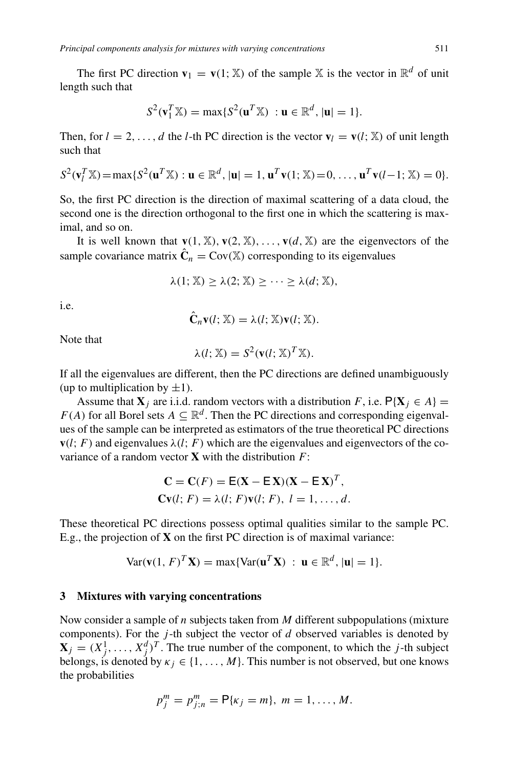The first PC direction  $\mathbf{v}_1 = \mathbf{v}(1; \mathbb{X})$  of the sample X is the vector in  $\mathbb{R}^d$  of unit length such that

$$
S^{2}(\mathbf{v}_{1}^{T}\mathbb{X})=\max\{S^{2}(\mathbf{u}^{T}\mathbb{X}) : \mathbf{u}\in\mathbb{R}^{d}, |\mathbf{u}|=1\}.
$$

Then, for  $l = 2, \ldots, d$  the *l*-th PC direction is the vector  $\mathbf{v}_l = \mathbf{v}(l; \mathbb{X})$  of unit length such that

$$
S^2(\mathbf{v}_l^T \mathbb{X}) = \max \{ S^2(\mathbf{u}^T \mathbb{X}) : \mathbf{u} \in \mathbb{R}^d, |\mathbf{u}| = 1, \mathbf{u}^T \mathbf{v}(1; \mathbb{X}) = 0, \dots, \mathbf{u}^T \mathbf{v}(l-1; \mathbb{X}) = 0 \}.
$$

So, the first PC direction is the direction of maximal scattering of a data cloud, the second one is the direction orthogonal to the first one in which the scattering is maximal, and so on.

It is well known that  $\mathbf{v}(1, \mathbb{X}), \mathbf{v}(2, \mathbb{X}), \ldots, \mathbf{v}(d, \mathbb{X})$  are the eigenvectors of the sample covariance matrix  $\hat{\mathbf{C}}_n = \text{Cov}(\mathbb{X})$  corresponding to its eigenvalues

$$
\lambda(1; \mathbb{X}) \geq \lambda(2; \mathbb{X}) \geq \cdots \geq \lambda(d; \mathbb{X}),
$$

i.e.

$$
\hat{\mathbf{C}}_n \mathbf{v}(l; \mathbb{X}) = \lambda(l; \mathbb{X}) \mathbf{v}(l; \mathbb{X}).
$$

Note that

$$
\lambda(l; \mathbb{X}) = S^2(\mathbf{v}(l; \mathbb{X})^T \mathbb{X}).
$$

If all the eigenvalues are different, then the PC directions are defined unambiguously (up to multiplication by  $\pm 1$ ).

Assume that  $\mathbf{X}_i$  are i.i.d. random vectors with a distribution *F*, i.e.  $P\{\mathbf{X}_i \in A\}$ *F(A)* for all Borel sets  $A \subseteq \mathbb{R}^d$ . Then the PC directions and corresponding eigenvalues of the sample can be interpreted as estimators of the true theoretical PC directions  **and eigenvalues**  $\lambda(l; F)$  **which are the eigenvalues and eigenvectors of the co**variance of a random vector **X** with the distribution *F*:

$$
\mathbf{C} = \mathbf{C}(F) = \mathbf{E}(\mathbf{X} - \mathbf{E}\mathbf{X})(\mathbf{X} - \mathbf{E}\mathbf{X})^T,
$$
  
 
$$
\mathbf{C}\mathbf{v}(l; F) = \lambda(l; F)\mathbf{v}(l; F), l = 1, ..., d.
$$

These theoretical PC directions possess optimal qualities similar to the sample PC. E.g., the projection of **X** on the first PC direction is of maximal variance:

$$
\text{Var}(\mathbf{v}(1, F)^T \mathbf{X}) = \max \{ \text{Var}(\mathbf{u}^T \mathbf{X}) \ : \ \mathbf{u} \in \mathbb{R}^d, |\mathbf{u}| = 1 \}.
$$

#### <span id="page-2-0"></span>**3 Mixtures with varying concentrations**

Now consider a sample of *n* subjects taken from *M* different subpopulations (mixture components). For the *j* -th subject the vector of *d* observed variables is denoted by  $\mathbf{X}_j = (X_j^1, \dots, X_j^d)^T$ . The true number of the component, to which the *j*-th subject belongs, is denoted by  $\kappa_j \in \{1, \ldots, M\}$ . This number is not observed, but one knows the probabilities

$$
p_j^m = p_{j;n}^m = \mathsf{P}\{\kappa_j = m\},\; m = 1,\ldots,M.
$$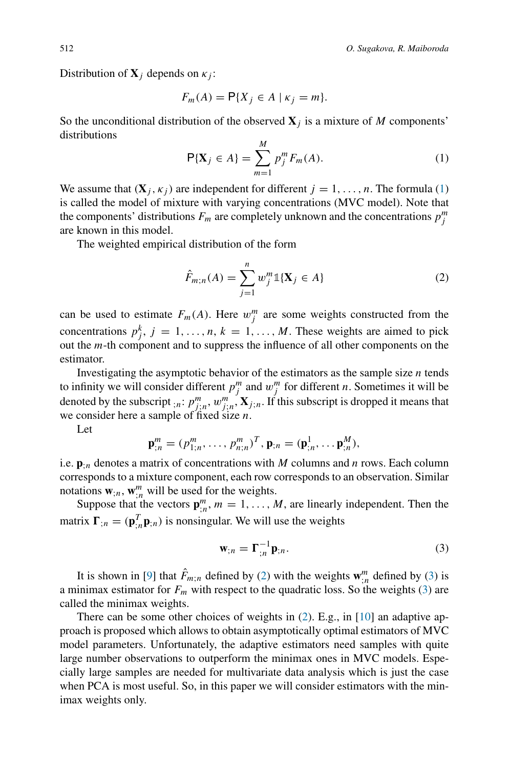Distribution of  $X_j$  depends on  $\kappa_j$ :

$$
F_m(A) = \mathsf{P}\{X_j \in A \mid \kappa_j = m\}.
$$

So the unconditional distribution of the observed  $X_i$  is a mixture of *M* components' distributions

<span id="page-3-0"></span>
$$
\mathsf{P}\{\mathbf{X}_j \in A\} = \sum_{m=1}^{M} p_j^m F_m(A). \tag{1}
$$

We assume that  $(X_i, \kappa_i)$  are independent for different  $j = 1, \ldots, n$ . The formula [\(1\)](#page-3-0) is called the model of mixture with varying concentrations (MVC model). Note that the components' distributions  $F_m$  are completely unknown and the concentrations  $p_j^m$ are known in this model.

The weighted empirical distribution of the form

<span id="page-3-1"></span>
$$
\hat{F}_{m;n}(A) = \sum_{j=1}^{n} w_j^{m} \mathbb{1}\{\mathbf{X}_j \in A\}
$$
 (2)

can be used to estimate  $F_m(A)$ . Here  $w_j^m$  are some weights constructed from the concentrations  $p_j^k$ ,  $j = 1, \ldots, n$ ,  $k = 1, \ldots, M$ . These weights are aimed to pick out the *m*-th component and to suppress the influence of all other components on the estimator.

Investigating the asymptotic behavior of the estimators as the sample size *n* tends to infinity we will consider different  $p_j^m$  and  $w_j^m$  for different *n*. Sometimes it will be denoted by the subscript  $_{;n}$ :  $p_{j;n}^m$ ,  $w_{j;n}^m$ ,  $\mathbf{X}_{j;n}$ . If this subscript is dropped it means that we consider here a sample of fixed size *n*.

Let

$$
\mathbf{p}_{;n}^m = (p_{1;n}^m, \ldots, p_{n;n}^m)^T, \mathbf{p}_{;n} = (\mathbf{p}_{;n}^1, \ldots, \mathbf{p}_{;n}^M),
$$

i.e.  $\mathbf{p}_{in}$  denotes a matrix of concentrations with *M* columns and *n* rows. Each column corresponds to a mixture component, each row corresponds to an observation. Similar notations  $\mathbf{w}_{;n}$ ,  $\mathbf{w}_{;n}^m$  will be used for the weights.

Suppose that the vectors  $\mathbf{p}^m_{;n}$ ,  $m = 1, \ldots, M$ , are linearly independent. Then the matrix  $\mathbf{\Gamma}_{;n} = (\mathbf{p}_{;n}^T \mathbf{p}_{;n})$  is nonsingular. We will use the weights

<span id="page-3-2"></span>
$$
\mathbf{w}_{;n} = \Gamma_{;n}^{-1} \mathbf{p}_{;n}.\tag{3}
$$

It is shown in [\[9](#page-13-2)] that  $\hat{F}_{m,n}$  defined by [\(2\)](#page-3-1) with the weights  $\mathbf{w}_{in}^m$  defined by [\(3\)](#page-3-2) is a minimax estimator for  $F_m$  with respect to the quadratic loss. So the weights [\(3\)](#page-3-2) are called the minimax weights.

There can be some other choices of weights in [\(2\)](#page-3-1). E.g., in [\[10](#page-13-5)] an adaptive approach is proposed which allows to obtain asymptotically optimal estimators of MVC model parameters. Unfortunately, the adaptive estimators need samples with quite large number observations to outperform the minimax ones in MVC models. Especially large samples are needed for multivariate data analysis which is just the case when PCA is most useful. So, in this paper we will consider estimators with the minimax weights only.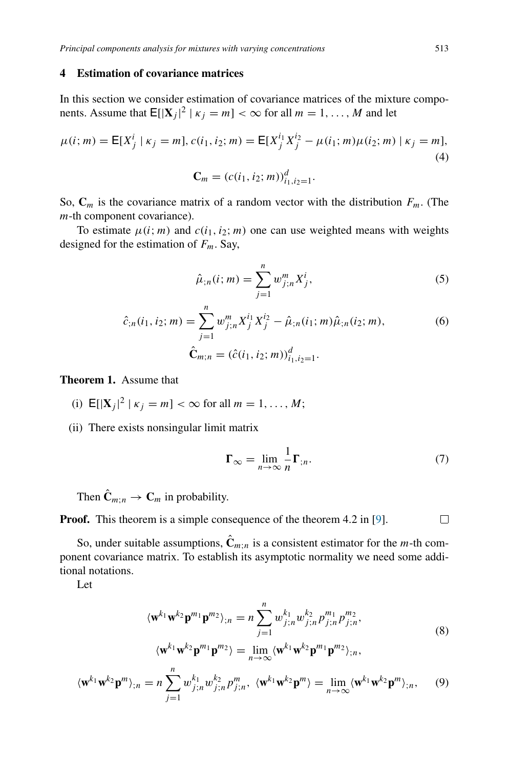### <span id="page-4-0"></span>**4 Estimation of covariance matrices**

In this section we consider estimation of covariance matrices of the mixture components. Assume that  $\mathbb{E}[|{\bf X}_j|^2 | \kappa_j = m] < \infty$  for all  $m = 1, \ldots, M$  and let

$$
\mu(i; m) = \mathsf{E}[X_j^i \mid \kappa_j = m], c(i_1, i_2; m) = \mathsf{E}[X_j^{i_1} X_j^{i_2} - \mu(i_1; m)\mu(i_2; m) \mid \kappa_j = m],
$$
\n(4)

$$
\mathbf{C}_m = (c(i_1, i_2; m))_{i_1, i_2=1}^d.
$$

So,  $\mathbf{C}_m$  is the covariance matrix of a random vector with the distribution  $F_m$ . (The *m*-th component covariance).

To estimate  $\mu(i; m)$  and  $c(i_1, i_2; m)$  one can use weighted means with weights designed for the estimation of *Fm*. Say,

$$
\hat{\mu}_{;n}(i; m) = \sum_{j=1}^{n} w_{j;n}^{m} X_j^i,
$$
\n(5)

$$
\hat{c}_{;n}(i_1, i_2; m) = \sum_{j=1}^{n} w_{j;n}^{m} X_j^{i_1} X_j^{i_2} - \hat{\mu}_{;n}(i_1; m) \hat{\mu}_{;n}(i_2; m),
$$
\n
$$
\hat{\mathbf{C}}_{m;n} = (\hat{c}(i_1, i_2; m))_{i_1, i_2=1}^d.
$$
\n(6)

**Theorem 1.** Assume that

- (i)  $E[|X_j|^2 | \kappa_j = m] < \infty$  for all  $m = 1, ..., M$ ;
- (ii) There exists nonsingular limit matrix

<span id="page-4-2"></span><span id="page-4-1"></span>
$$
\Gamma_{\infty} = \lim_{n \to \infty} \frac{1}{n} \Gamma_{;n}.
$$
 (7)

Then  $\hat{\mathbf{C}}_{m:n} \to \mathbf{C}_m$  in probability.

**Proof.** This theorem is a simple consequence of the theorem 4.2 in [\[9\]](#page-13-2).  $\Box$ 

So, under suitable assumptions,  $\hat{\mathbf{C}}_{m:n}$  is a consistent estimator for the *m*-th component covariance matrix. To establish its asymptotic normality we need some additional notations.

Let

$$
\langle \mathbf{w}^{k_1} \mathbf{w}^{k_2} \mathbf{p}^{m_1} \mathbf{p}^{m_2} \rangle_{;n} = n \sum_{j=1}^n w_{j;n}^{k_1} w_{j;n}^{k_2} p_{j;n}^{m_1} p_{j;n}^{m_2},
$$
\n
$$
\langle k_1, k_2, m_1, m_2 \rangle_{\mathcal{N}} = \langle k_1, k_2, m_1, m_2 \rangle_{\mathcal{N}}.
$$
\n(8)

$$
\langle \mathbf{w}^{k_1} \mathbf{w}^{k_2} \mathbf{p}^{m_1} \mathbf{p}^{m_2} \rangle = \lim_{n \to \infty} \langle \mathbf{w}^{k_1} \mathbf{w}^{k_2} \mathbf{p}^{m_1} \mathbf{p}^{m_2} \rangle_{;n},
$$

$$
\langle \mathbf{w}^{k_1} \mathbf{w}^{k_2} \mathbf{p}^m \rangle_{;n} = n \sum_{j=1}^n w_{j;n}^{k_1} w_{j;n}^{k_2} p_{j;n}^m, \ \langle \mathbf{w}^{k_1} \mathbf{w}^{k_2} \mathbf{p}^m \rangle = \lim_{n \to \infty} \langle \mathbf{w}^{k_1} \mathbf{w}^{k_2} \mathbf{p}^m \rangle_{;n}, \qquad (9)
$$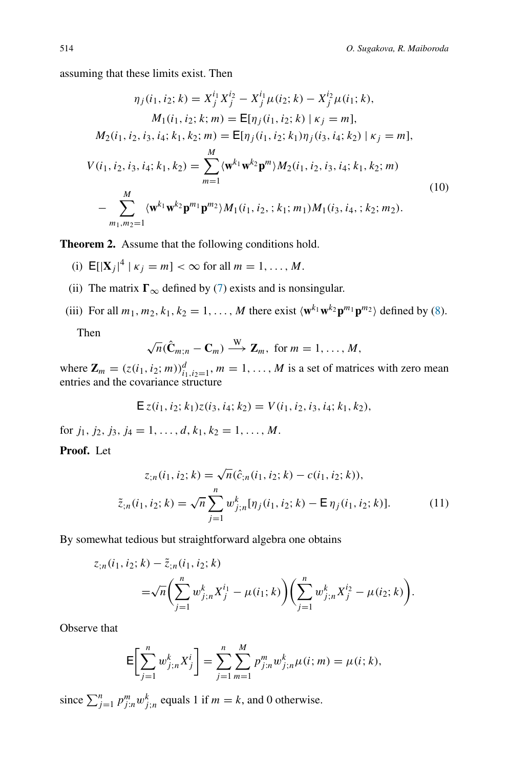assuming that these limits exist. Then

$$
\eta_j(i_1, i_2; k) = X_j^{i_1} X_j^{i_2} - X_j^{i_1} \mu(i_2; k) - X_j^{i_2} \mu(i_1; k),
$$
  
\n
$$
M_1(i_1, i_2; k; m) = \mathbb{E}[\eta_j(i_1, i_2; k) | \kappa_j = m],
$$
  
\n
$$
M_2(i_1, i_2, i_3, i_4; k_1, k_2; m) = \mathbb{E}[\eta_j(i_1, i_2; k_1)\eta_j(i_3, i_4; k_2) | \kappa_j = m],
$$
  
\n
$$
V(i_1, i_2, i_3, i_4; k_1, k_2) = \sum_{m=1}^{M} \langle \mathbf{w}^{k_1} \mathbf{w}^{k_2} \mathbf{p}^m \rangle M_2(i_1, i_2, i_3, i_4; k_1, k_2; m)
$$
  
\n
$$
-\sum_{m_1, m_2 = 1}^{M} \langle \mathbf{w}^{k_1} \mathbf{w}^{k_2} \mathbf{p}^{m_1} \mathbf{p}^{m_2} \rangle M_1(i_1, i_2, ; k_1; m_1) M_1(i_3, i_4, ; k_2; m_2).
$$
  
\n(10)

<span id="page-5-0"></span>**Theorem 2.** Assume that the following conditions hold.

- (i)  $E[|X_j|^4 | \kappa_j = m] < \infty$  for all  $m = 1, ..., M$ .
- (ii) The matrix  $\Gamma_{\infty}$  defined by [\(7\)](#page-4-1) exists and is nonsingular.
- (iii) For all  $m_1, m_2, k_1, k_2 = 1, \ldots, M$  there exist  $\langle \mathbf{w}^{k_1} \mathbf{w}^{k_2} \mathbf{p}^{m_1} \mathbf{p}^{m_2} \rangle$  defined by [\(8\)](#page-4-2).

Then

$$
\sqrt{n}(\hat{\mathbf{C}}_{m;n}-\mathbf{C}_m)\stackrel{\text{W}}{\longrightarrow}\mathbf{Z}_m,\text{ for }m=1,\ldots,M,
$$

where  $\mathbf{Z}_m = (z(i_1, i_2; m))_{i_1, i_2=1}^d$ ,  $m = 1, \ldots, M$  is a set of matrices with zero mean entries and the covariance structure

$$
\mathsf{E}\,z(i_1,i_2;k_1)z(i_3,i_4;k_2)=V(i_1,i_2,i_3,i_4;k_1,k_2),
$$

for  $j_1, j_2, j_3, j_4 = 1, \ldots, d, k_1, k_2 = 1, \ldots, M$ .

## **Proof.** Let

$$
z_{;n}(i_1, i_2; k) = \sqrt{n}(\hat{c}_{;n}(i_1, i_2; k) - c(i_1, i_2; k)),
$$
  
\n
$$
\tilde{z}_{;n}(i_1, i_2; k) = \sqrt{n} \sum_{j=1}^n w_{j;n}^k [\eta_j(i_1, i_2; k) - \mathsf{E}\,\eta_j(i_1, i_2; k)].
$$
\n(11)

By somewhat tedious but straightforward algebra one obtains

$$
z_{;n}(i_1, i_2; k) - \tilde{z}_{;n}(i_1, i_2; k)
$$
  
= $\sqrt{n} \left( \sum_{j=1}^n w_{j;n}^k X_j^{i_1} - \mu(i_1; k) \right) \left( \sum_{j=1}^n w_{j;n}^k X_j^{i_2} - \mu(i_2; k) \right).$ 

Observe that

$$
\mathsf{E}\bigg[\sum_{j=1}^n w_{j;n}^k X_j^i\bigg] = \sum_{j=1}^n \sum_{m=1}^M p_{j;n}^m w_{j;n}^k \mu(i;m) = \mu(i;k),
$$

since  $\sum_{j=1}^{n} p_{j:n}^{m} w_{j:n}^{k}$  equals 1 if  $m = k$ , and 0 otherwise.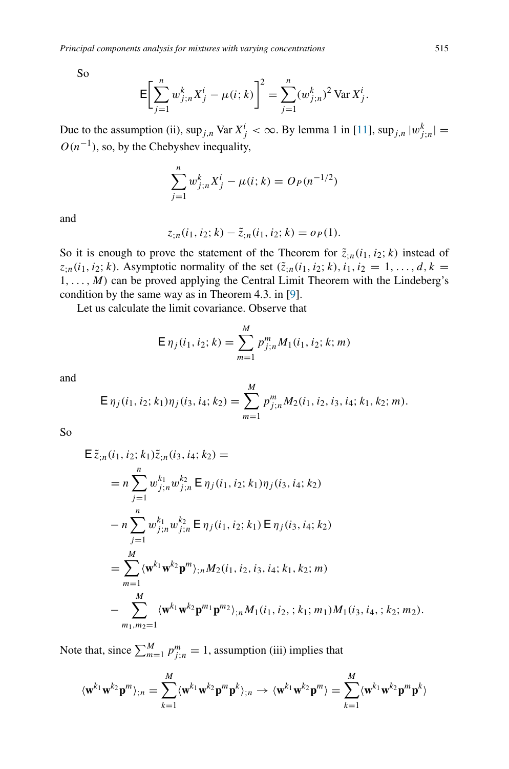So

$$
\mathsf{E}\bigg[\sum_{j=1}^n w_{j;n}^k X_j^i - \mu(i;k)\bigg]^2 = \sum_{j=1}^n (w_{j;n}^k)^2 \operatorname{Var} X_j^i.
$$

Due to the assumption (ii),  $\sup_{j,n} \text{Var } X^i_j < \infty$ . By lemma 1 in [\[11](#page-14-4)],  $\sup_{j,n} |w^k_{j,n}| =$  $O(n^{-1})$ , so, by the Chebyshev inequality,

$$
\sum_{j=1}^{n} w_{j;n}^{k} X_{j}^{i} - \mu(i;k) = O_{P}(n^{-1/2})
$$

and

$$
z_{;n}(i_1, i_2; k) - \tilde{z}_{;n}(i_1, i_2; k) = o_P(1).
$$

So it is enough to prove the statement of the Theorem for  $\tilde{z}_{i,n}(i_1,i_2;k)$  instead of  $z_{i,n}(i_1, i_2; k)$ . Asymptotic normality of the set  $(\tilde{z}_{i,n}(i_1, i_2; k), i_1, i_2 = 1, ..., d, k =$ 1*,...,M)* can be proved applying the Central Limit Theorem with the Lindeberg's condition by the same way as in Theorem 4.3. in [\[9](#page-13-2)].

Let us calculate the limit covariance. Observe that

$$
\mathsf{E}\,\eta_j(i_1,i_2;k) = \sum_{m=1}^M p_{j;n}^m M_1(i_1,i_2;k;m)
$$

and

$$
\mathsf{E}\,\eta_j(i_1,i_2;k_1)\eta_j(i_3,i_4;k_2) = \sum_{m=1}^M p_{j;n}^m M_2(i_1,i_2,i_3,i_4;k_1,k_2;m).
$$

So

$$
\begin{split}\n& \mathsf{E} \,\tilde{z}_{;n}(i_1, i_2; k_1) \tilde{z}_{;n}(i_3, i_4; k_2) = \\
& = n \sum_{j=1}^n w_{j;n}^{k_1} w_{j;n}^{k_2} \, \mathsf{E} \, \eta_j(i_1, i_2; k_1) \eta_j(i_3, i_4; k_2) \\
& \quad - n \sum_{j=1}^n w_{j;n}^{k_1} w_{j;n}^{k_2} \, \mathsf{E} \, \eta_j(i_1, i_2; k_1) \, \mathsf{E} \, \eta_j(i_3, i_4; k_2) \\
& = \sum_{m=1}^M \langle \mathbf{w}^{k_1} \mathbf{w}^{k_2} \mathbf{p}^m \rangle_{;n} M_2(i_1, i_2, i_3, i_4; k_1, k_2; m) \\
& \quad - \sum_{m_1,m_2=1}^M \langle \mathbf{w}^{k_1} \mathbf{w}^{k_2} \mathbf{p}^{m_1} \mathbf{p}^{m_2} \rangle_{;n} M_1(i_1, i_2, ; k_1; m_1) M_1(i_3, i_4, ; k_2; m_2).\n\end{split}
$$

Note that, since  $\sum_{m=1}^{M} p_{j;n}^{m} = 1$ , assumption (iii) implies that

$$
\langle \mathbf{w}^{k_1} \mathbf{w}^{k_2} \mathbf{p}^m \rangle_{;n} = \sum_{k=1}^M \langle \mathbf{w}^{k_1} \mathbf{w}^{k_2} \mathbf{p}^m \mathbf{p}^k \rangle_{;n} \rightarrow \langle \mathbf{w}^{k_1} \mathbf{w}^{k_2} \mathbf{p}^m \rangle = \sum_{k=1}^M \langle \mathbf{w}^{k_1} \mathbf{w}^{k_2} \mathbf{p}^m \mathbf{p}^k \rangle
$$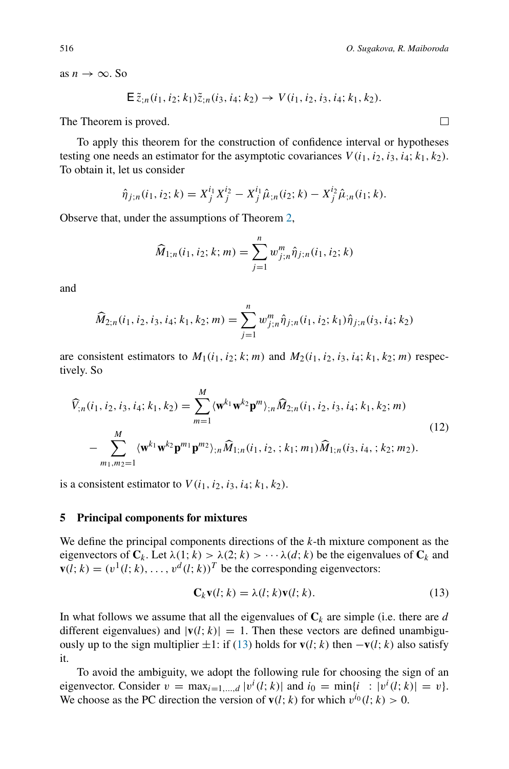as  $n \to \infty$ . So

$$
\mathsf{E}\,\tilde{z}_{;n}(i_1,i_2;k_1)\tilde{z}_{;n}(i_3,i_4;k_2)\to V(i_1,i_2,i_3,i_4;k_1,k_2).
$$

The Theorem is proved.

To apply this theorem for the construction of confidence interval or hypotheses testing one needs an estimator for the asymptotic covariances  $V(i_1, i_2, i_3, i_4; k_1, k_2)$ . To obtain it, let us consider

$$
\hat{\eta}_{j;n}(i_1,i_2;k) = X_j^{i_1} X_j^{i_2} - X_j^{i_1} \hat{\mu}_{,n}(i_2;k) - X_j^{i_2} \hat{\mu}_{,n}(i_1;k).
$$

Observe that, under the assumptions of Theorem [2,](#page-5-0)

$$
\widehat{M}_{1;n}(i_1,i_2;k;m) = \sum_{j=1}^{n} w_{j;n}^{m} \widehat{\eta}_{j;n}(i_1,i_2;k)
$$

and

$$
\widehat{M}_{2;n}(i_1, i_2, i_3, i_4; k_1, k_2; m) = \sum_{j=1}^{n} w_{j;n}^{m} \widehat{\eta}_{j;n}(i_1, i_2; k_1) \widehat{\eta}_{j;n}(i_3, i_4; k_2)
$$

are consistent estimators to  $M_1(i_1, i_2; k; m)$  and  $M_2(i_1, i_2, i_3, i_4; k_1, k_2; m)$  respectively. So

$$
\widehat{V}_{;n}(i_1, i_2, i_3, i_4; k_1, k_2) = \sum_{m=1}^{M} \langle \mathbf{w}^{k_1} \mathbf{w}^{k_2} \mathbf{p}^m \rangle_{;n} \widehat{M}_{2;n}(i_1, i_2, i_3, i_4; k_1, k_2; m) \n- \sum_{m_1, m_2=1}^{M} \langle \mathbf{w}^{k_1} \mathbf{w}^{k_2} \mathbf{p}^{m_1} \mathbf{p}^{m_2} \rangle_{;n} \widehat{M}_{1;n}(i_1, i_2, ; k_1; m_1) \widehat{M}_{1;n}(i_3, i_4, ; k_2; m_2).
$$
\n(12)

is a consistent estimator to  $V(i_1, i_2, i_3, i_4; k_1, k_2)$ .

#### <span id="page-7-0"></span>**5 Principal components for mixtures**

We define the principal components directions of the *k*-th mixture component as the eigenvectors of  $C_k$ . Let  $\lambda(1; k) > \lambda(2; k) > \cdots \lambda(d; k)$  be the eigenvalues of  $C_k$  and  **be the corresponding eigenvectors:** 

<span id="page-7-1"></span>
$$
\mathbf{C}_k \mathbf{v}(l; k) = \lambda(l; k) \mathbf{v}(l; k). \tag{13}
$$

In what follows we assume that all the eigenvalues of  $C_k$  are simple (i.e. there are *d* different eigenvalues) and  $|\mathbf{v}(l; k)| = 1$ . Then these vectors are defined unambiguously up to the sign multiplier  $±1$ : if [\(13\)](#page-7-1) holds for **v**(*l*; *k*) then −**v**(*l*; *k*) also satisfy it.

To avoid the ambiguity, we adopt the following rule for choosing the sign of an eigenvector. Consider  $v = \max_{i=1,\dots,d} |v^i(l; k)|$  and  $i_0 = \min\{i : |v^i(l; k)| = v\}$ . We choose as the PC direction the version of  $\mathbf{v}(l; k)$  for which  $v^{i_0}(l; k) > 0$ .

 $\Box$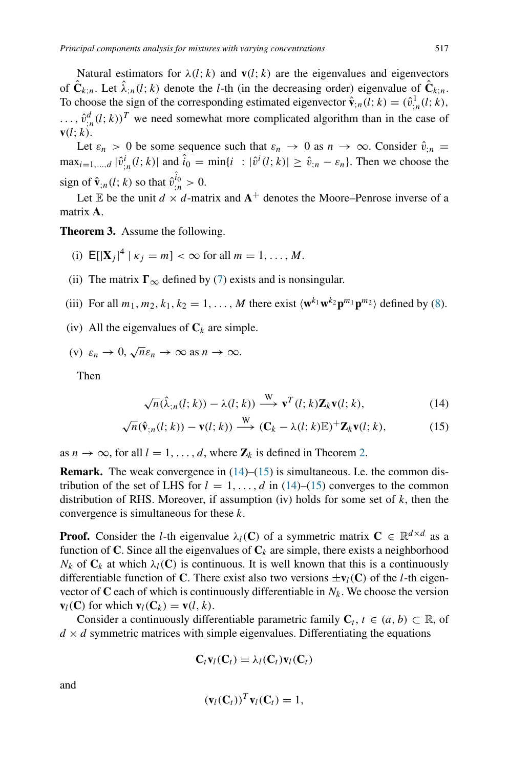Natural estimators for  $\lambda(l; k)$  and  $\mathbf{v}(l; k)$  are the eigenvalues and eigenvectors of  $\hat{\mathbf{C}}_{k;n}$ . Let  $\hat{\lambda}_{;n}(l;k)$  denote the *l*-th (in the decreasing order) eigenvalue of  $\hat{\mathbf{C}}_{k;n}$ . To choose the sign of the corresponding estimated eigenvector  $\hat{\mathbf{v}}_{;n}(l; k) = (\hat{v}_{;n}^1(l; k),$  $\ldots$ ,  $\hat{v}_{;n}^d(l;k))^T$  we need somewhat more complicated algorithm than in the case of  $\mathbf{v}(l; k)$ .

Let  $\varepsilon_n > 0$  be some sequence such that  $\varepsilon_n \to 0$  as  $n \to \infty$ . Consider  $\hat{v}_{;n} =$  $\max_{i=1,...,d} |\hat{v}_{;n}^{i}(l; k)|$  and  $\hat{i}_0 = \min\{i : |\hat{v}^{i}(l; k)| \ge \hat{v}_{;n} - \varepsilon_n\}$ . Then we choose the sign of  $\hat{\mathbf{v}}_{;n}(l; k)$  so that  $\hat{v}_{;n}^{\hat{i}_0} > 0$ .

Let  $\mathbb E$  be the unit  $d \times d$ -matrix and  $A^+$  denotes the Moore–Penrose inverse of a matrix **A**.

<span id="page-8-2"></span>**Theorem 3.** Assume the following.

(i) 
$$
E[|X_j|^4 | \kappa_j = m] < \infty
$$
 for all  $m = 1, ..., M$ .

- (ii) The matrix  $\Gamma_{\infty}$  defined by [\(7\)](#page-4-1) exists and is nonsingular.
- (iii) For all  $m_1, m_2, k_1, k_2 = 1, \ldots, M$  there exist  $\langle \mathbf{w}^{k_1} \mathbf{w}^{k_2} \mathbf{p}^{m_1} \mathbf{p}^{m_2} \rangle$  defined by [\(8\)](#page-4-2).
- (iv) All the eigenvalues of  $C_k$  are simple.

(v) 
$$
\varepsilon_n \to 0
$$
,  $\sqrt{n}\varepsilon_n \to \infty$  as  $n \to \infty$ .

Then

<span id="page-8-1"></span><span id="page-8-0"></span>
$$
\sqrt{n}(\hat{\lambda}_{;n}(l;k)) - \lambda(l;k)) \xrightarrow{W} \mathbf{v}^{T}(l;k)\mathbf{Z}_{k}\mathbf{v}(l;k),
$$
\n(14)

$$
\sqrt{n}(\hat{\mathbf{v}}_{;n}(l;k)) - \mathbf{v}(l;k)) \xrightarrow{\mathbf{W}} (\mathbf{C}_k - \lambda(l;k)\mathbb{E})^+ \mathbf{Z}_k \mathbf{v}(l;k), \tag{15}
$$

as  $n \to \infty$ , for all  $l = 1, \ldots, d$ , where  $\mathbb{Z}_k$  is defined in Theorem [2.](#page-5-0)

**Remark.** The weak convergence in  $(14)$ – $(15)$  is simultaneous. I.e. the common distribution of the set of LHS for  $l = 1, \ldots, d$  in [\(14\)](#page-8-0)–[\(15\)](#page-8-1) converges to the common distribution of RHS. Moreover, if assumption (iv) holds for some set of *k*, then the convergence is simultaneous for these *k*.

**Proof.** Consider the *l*-th eigenvalue  $\lambda_l(\mathbf{C})$  of a symmetric matrix  $\mathbf{C} \in \mathbb{R}^{d \times d}$  as a function of **C**. Since all the eigenvalues of  $C_k$  are simple, there exists a neighborhood  $N_k$  of  $C_k$  at which  $\lambda_l(C)$  is continuous. It is well known that this is a continuously differentiable function of **C**. There exist also two versions  $\pm \mathbf{v}_l(\mathbf{C})$  of the *l*-th eigenvector of  $C$  each of which is continuously differentiable in  $N_k$ . We choose the version  $\mathbf{v}_l(\mathbf{C})$  for which  $\mathbf{v}_l(\mathbf{C}_k) = \mathbf{v}(l, k)$ .

Consider a continuously differentiable parametric family  $C_t$ ,  $t \in (a, b) \subset \mathbb{R}$ , of  $d \times d$  symmetric matrices with simple eigenvalues. Differentiating the equations

$$
\mathbf{C}_t \mathbf{v}_l(\mathbf{C}_t) = \lambda_l(\mathbf{C}_t) \mathbf{v}_l(\mathbf{C}_t)
$$

and

$$
(\mathbf{v}_l(\mathbf{C}_t))^T \mathbf{v}_l(\mathbf{C}_t) = 1,
$$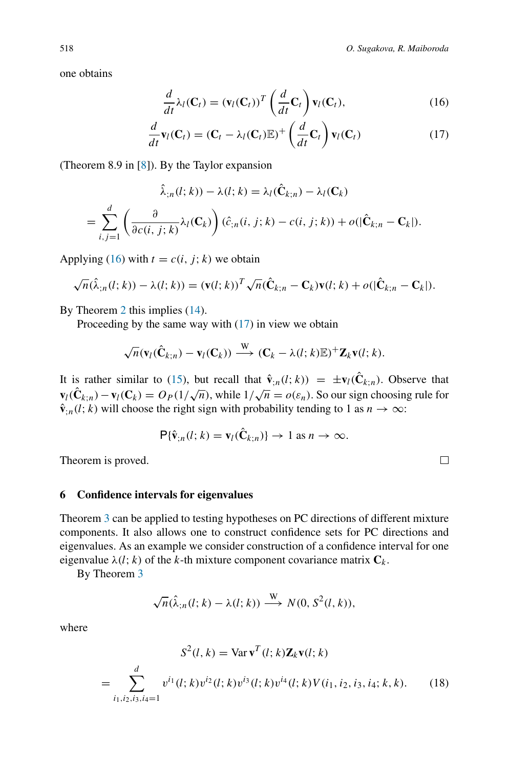one obtains

<span id="page-9-2"></span><span id="page-9-1"></span>
$$
\frac{d}{dt}\lambda_l(\mathbf{C}_t) = (\mathbf{v}_l(\mathbf{C}_t))^T \left(\frac{d}{dt}\mathbf{C}_t\right) \mathbf{v}_l(\mathbf{C}_t),\tag{16}
$$

$$
\frac{d}{dt}\mathbf{v}_l(\mathbf{C}_t) = (\mathbf{C}_t - \lambda_l(\mathbf{C}_t)\mathbb{E})^+\left(\frac{d}{dt}\mathbf{C}_t\right)\mathbf{v}_l(\mathbf{C}_t)
$$
\n(17)

(Theorem 8.9 in [\[8](#page-13-6)]). By the Taylor expansion

$$
\hat{\lambda}_{;n}(l;k)) - \lambda(l;k) = \lambda_l(\hat{\mathbf{C}}_{k;n}) - \lambda_l(\mathbf{C}_k)
$$
\n
$$
= \sum_{i,j=1}^d \left( \frac{\partial}{\partial c(i,j;k)} \lambda_l(\mathbf{C}_k) \right) (\hat{c}_{;n}(i,j;k) - c(i,j;k)) + o(|\hat{\mathbf{C}}_{k;n} - \mathbf{C}_k|).
$$

Applying [\(16\)](#page-9-1) with  $t = c(i, j; k)$  we obtain

$$
\sqrt{n}(\hat{\lambda}_{;n}(l;k)) - \lambda(l;k)) = (\mathbf{v}(l;k))^T \sqrt{n} (\hat{\mathbf{C}}_{k;n} - \mathbf{C}_k) \mathbf{v}(l;k) + o(|\hat{\mathbf{C}}_{k;n} - \mathbf{C}_k|).
$$

By Theorem [2](#page-5-0) this implies [\(14\)](#page-8-0).

Proceeding by the same way with [\(17\)](#page-9-2) in view we obtain

$$
\sqrt{n}(\mathbf{v}_l(\hat{\mathbf{C}}_{k;n})-\mathbf{v}_l(\mathbf{C}_k))\stackrel{\mathrm{W}}{\longrightarrow} (\mathbf{C}_k-\lambda(l;k)\mathbb{E})^+\mathbf{Z}_k\mathbf{v}(l;k).
$$

It is rather similar to [\(15\)](#page-8-1), but recall that  $\hat{\mathbf{v}}_{n}(l; k)$  =  $\pm \mathbf{v}_{l}(\hat{\mathbf{C}}_{k;n})$ . Observe that **v**<sub>*l*</sub>(**C**<sub>*k*;*n*</sub>) − **v**<sub>*l*</sub>(**C**<sub>*k*</sub>) = *O<sub>P</sub>*(1/ $\sqrt{n}$ ), while  $1/\sqrt{n} = o(\varepsilon_n)$ . So our sign choosing rule for  $\hat{\mathbf{v}}_{n}(l; k)$  will choose the right sign with probability tending to 1 as  $n \to \infty$ :

$$
\mathsf{P}\{\hat{\mathbf{v}}_{;n}(l;k)=\mathbf{v}_l(\hat{\mathbf{C}}_{k;n})\}\to 1 \text{ as } n\to\infty.
$$

Theorem is proved.

### <span id="page-9-0"></span>**6 Confidence intervals for eigenvalues**

Theorem [3](#page-8-2) can be applied to testing hypotheses on PC directions of different mixture components. It also allows one to construct confidence sets for PC directions and eigenvalues. As an example we consider construction of a confidence interval for one eigenvalue  $\lambda(l; k)$  of the *k*-th mixture component covariance matrix  $C_k$ .

By Theorem [3](#page-8-2)

$$
\sqrt{n}(\hat{\lambda}_{;n}(l;k)-\lambda(l;k)) \xrightarrow{W} N(0, S^2(l,k)),
$$

where

$$
S^{2}(l, k) = \text{Var}\,\mathbf{v}^{T}(l; k)\mathbf{Z}_{k}\mathbf{v}(l; k)
$$

$$
= \sum_{i_{1}, i_{2}, i_{3}, i_{4}=1}^{d} v^{i_{1}}(l; k)v^{i_{2}}(l; k)v^{i_{3}}(l; k)v^{i_{4}}(l; k)V(i_{1}, i_{2}, i_{3}, i_{4}; k, k). \qquad (18)
$$

<span id="page-9-3"></span> $\Box$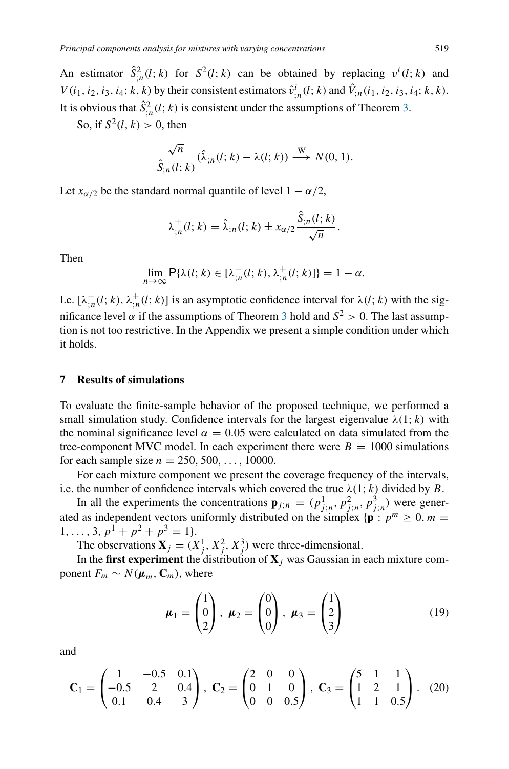An estimator  $\hat{S}_{;n}^2(l; k)$  for  $S^2(l; k)$  can be obtained by replacing  $v^i(l; k)$  and *V*(*i*<sub>1</sub>, *i*<sub>2</sub>, *i*<sub>3</sub>, *i*<sub>4</sub>; *k*, *k*) by their consistent estimators  $\hat{v}^i_{;n}(l; k)$  and  $\hat{V}_{;n}(i_1, i_2, i_3, i_4; k, k)$ . It is obvious that  $\hat{S}^2_{;n}(l; k)$  is consistent under the assumptions of Theorem [3.](#page-8-2)

So, if  $S^2(l, k) > 0$ , then

$$
\frac{\sqrt{n}}{\hat{S}_{;n}(l;k)}(\hat{\lambda}_{;n}(l;k)-\lambda(l;k)) \stackrel{\text{W}}{\longrightarrow} N(0,1).
$$

Let  $x_{\alpha/2}$  be the standard normal quantile of level  $1 - \alpha/2$ ,

$$
\lambda_{;n}^{\pm}(l;k) = \hat{\lambda}_{;n}(l;k) \pm x_{\alpha/2} \frac{\hat{S}_{;n}(l;k)}{\sqrt{n}}.
$$

Then

$$
\lim_{n\to\infty} \mathsf{P}\{\lambda(l;k)\in[\lambda_{;n}^-(l;k),\lambda_{;n}^+(l;k)]\}=1-\alpha.
$$

I.e.  $[\lambda_{n}^{-}(l; k), \lambda_{n}^{+}(l; k)]$  is an asymptotic confidence interval for  $\lambda(l; k)$  with the significance level  $\alpha$  if the assumptions of Theorem [3](#page-8-2) hold and  $S^2 > 0$ . The last assumption is not too restrictive. In the Appendix we present a simple condition under which it holds.

### <span id="page-10-0"></span>**7 Results of simulations**

To evaluate the finite-sample behavior of the proposed technique, we performed a small simulation study. Confidence intervals for the largest eigenvalue  $\lambda(1; k)$  with the nominal significance level  $\alpha = 0.05$  were calculated on data simulated from the tree-component MVC model. In each experiment there were  $B = 1000$  simulations for each sample size  $n = 250, 500, \ldots, 10000$ .

For each mixture component we present the coverage frequency of the intervals, i.e. the number of confidence intervals which covered the true  $\lambda(1; k)$  divided by *B*.

In all the experiments the concentrations  $\mathbf{p}_{j;n} = (p_{j;n}^1, p_{j;n}^2, p_{j;n}^3)$  were generated as independent vectors uniformly distributed on the simplex  $\{\mathbf{p} : p^m \geq 0, m = 0\}$ 1, ..., 3,  $p^1 + p^2 + p^3 = 1$ .

The observations  $X_j = (X_j^1, X_j^2, X_j^3)$  were three-dimensional.

In the **first experiment** the distribution of  $X_j$  was Gaussian in each mixture component  $F_m \sim N(\mu_m, C_m)$ , where

$$
\boldsymbol{\mu}_1 = \begin{pmatrix} 1 \\ 0 \\ 2 \end{pmatrix}, \ \boldsymbol{\mu}_2 = \begin{pmatrix} 0 \\ 0 \\ 0 \end{pmatrix}, \ \boldsymbol{\mu}_3 = \begin{pmatrix} 1 \\ 2 \\ 3 \end{pmatrix} \tag{19}
$$

and

$$
\mathbf{C}_1 = \begin{pmatrix} 1 & -0.5 & 0.1 \\ -0.5 & 2 & 0.4 \\ 0.1 & 0.4 & 3 \end{pmatrix}, \ \mathbf{C}_2 = \begin{pmatrix} 2 & 0 & 0 \\ 0 & 1 & 0 \\ 0 & 0 & 0.5 \end{pmatrix}, \ \mathbf{C}_3 = \begin{pmatrix} 5 & 1 & 1 \\ 1 & 2 & 1 \\ 1 & 1 & 0.5 \end{pmatrix}. \tag{20}
$$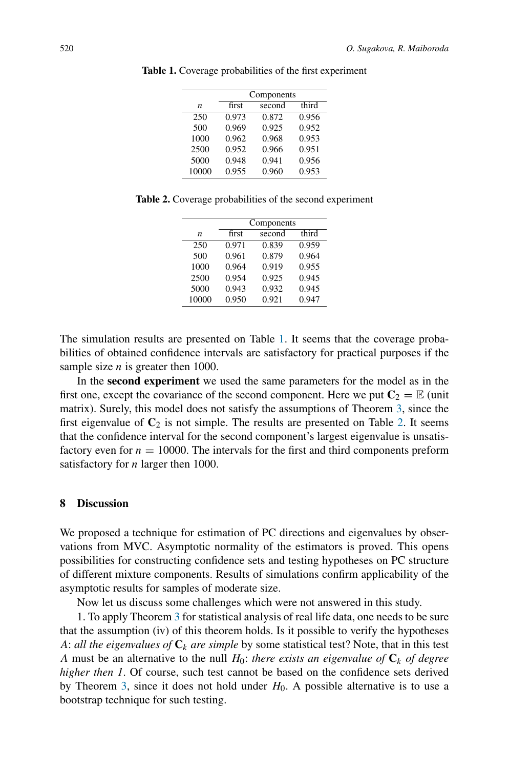|                  | Components |        |       |  |  |
|------------------|------------|--------|-------|--|--|
| $\boldsymbol{n}$ | first      | second | third |  |  |
| 250              | 0.973      | 0.872  | 0.956 |  |  |
| 500              | 0.969      | 0.925  | 0.952 |  |  |
| 1000             | 0.962      | 0.968  | 0.953 |  |  |
| 2500             | 0.952      | 0.966  | 0.951 |  |  |
| 5000             | 0.948      | 0.941  | 0.956 |  |  |
| 10000            | 0.955      | 0.960  | 0.953 |  |  |

<span id="page-11-1"></span>**Table 1.** Coverage probabilities of the first experiment

<span id="page-11-2"></span>

|  |  | Table 2. Coverage probabilities of the second experiment |  |  |
|--|--|----------------------------------------------------------|--|--|
|  |  |                                                          |  |  |

| Components |                                                             |       |  |  |
|------------|-------------------------------------------------------------|-------|--|--|
|            | second                                                      | third |  |  |
|            | 0.839                                                       | 0.959 |  |  |
|            | 0.879                                                       | 0.964 |  |  |
|            | 0.919                                                       | 0.955 |  |  |
|            | 0.925                                                       | 0.945 |  |  |
|            | 0.932                                                       | 0.945 |  |  |
|            | 0.921                                                       | 0.947 |  |  |
|            | first<br>0.971<br>0.961<br>0.964<br>0.954<br>0.943<br>0.950 |       |  |  |

The simulation results are presented on Table [1.](#page-11-1) It seems that the coverage probabilities of obtained confidence intervals are satisfactory for practical purposes if the sample size *n* is greater then 1000.

In the **second experiment** we used the same parameters for the model as in the first one, except the covariance of the second component. Here we put  $C_2 = \mathbb{E}$  (unit matrix). Surely, this model does not satisfy the assumptions of Theorem [3,](#page-8-2) since the first eigenvalue of  $C_2$  is not simple. The results are presented on Table [2.](#page-11-2) It seems that the confidence interval for the second component's largest eigenvalue is unsatisfactory even for  $n = 10000$ . The intervals for the first and third components preform satisfactory for *n* larger then 1000.

### <span id="page-11-0"></span>**8 Discussion**

We proposed a technique for estimation of PC directions and eigenvalues by observations from MVC. Asymptotic normality of the estimators is proved. This opens possibilities for constructing confidence sets and testing hypotheses on PC structure of different mixture components. Results of simulations confirm applicability of the asymptotic results for samples of moderate size.

Now let us discuss some challenges which were not answered in this study.

1. To apply Theorem [3](#page-8-2) for statistical analysis of real life data, one needs to be sure that the assumption (iv) of this theorem holds. Is it possible to verify the hypotheses *A*: *all the eigenvalues of*  $C_k$  *are simple* by some statistical test? Note, that in this test *A* must be an alternative to the null  $H_0$ : *there exists an eigenvalue of*  $C_k$  *of degree higher then 1*. Of course, such test cannot be based on the confidence sets derived by Theorem [3,](#page-8-2) since it does not hold under  $H_0$ . A possible alternative is to use a bootstrap technique for such testing.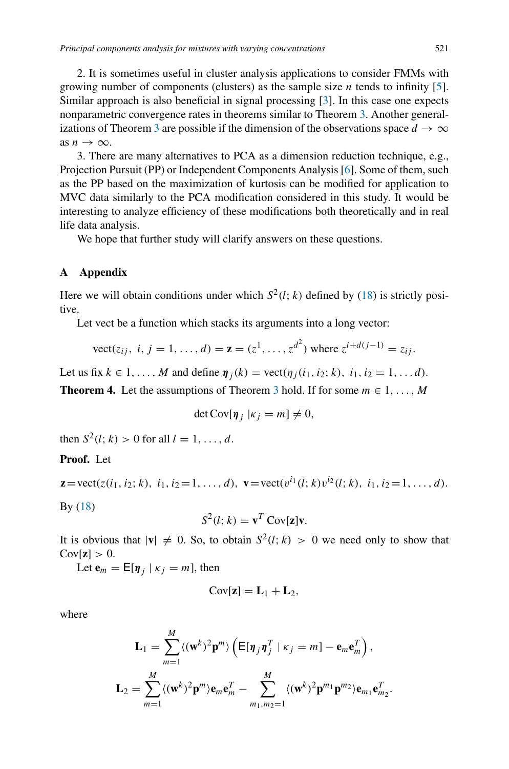2. It is sometimes useful in cluster analysis applications to consider FMMs with growing number of components (clusters) as the sample size *n* tends to infinity [\[5](#page-13-7)]. Similar approach is also beneficial in signal processing [\[3\]](#page-13-8). In this case one expects nonparametric convergence rates in theorems similar to Theorem [3.](#page-8-2) Another general-izations of Theorem [3](#page-8-2) are possible if the dimension of the observations space  $d \to \infty$ as  $n \to \infty$ .

3. There are many alternatives to PCA as a dimension reduction technique, e.g., Projection Pursuit (PP) or Independent Components Analysis [\[6\]](#page-13-9). Some of them, such as the PP based on the maximization of kurtosis can be modified for application to MVC data similarly to the PCA modification considered in this study. It would be interesting to analyze efficiency of these modifications both theoretically and in real life data analysis.

We hope that further study will clarify answers on these questions.

### **A Appendix**

Here we will obtain conditions under which  $S^2(l; k)$  defined by [\(18\)](#page-9-3) is strictly positive.

Let vect be a function which stacks its arguments into a long vector:

$$
\text{vect}(z_{ij}, \, i, j = 1, \dots, d) = \mathbf{z} = (z^1, \dots, z^{d^2}) \text{ where } z^{i+d(j-1)} = z_{ij}.
$$

Let us fix  $k \in 1, ..., M$  and define  $\eta_i(k) = \text{vect}(\eta_i(i_1, i_2; k), i_1, i_2 = 1, ... d)$ .

**Theorem 4.** Let the assumptions of Theorem [3](#page-8-2) hold. If for some  $m \in 1, \ldots, M$ 

$$
\det \mathrm{Cov}[\boldsymbol{\eta}_j \,|\kappa_j = m] \neq 0,
$$

then  $S^2(l; k) > 0$  for all  $l = 1, ..., d$ .

## **Proof.** Let

$$
\mathbf{z} = \text{vect}(z(i_1, i_2; k), i_1, i_2 = 1, \dots, d), \mathbf{v} = \text{vect}(v^{i_1}(l; k)v^{i_2}(l; k), i_1, i_2 = 1, \dots, d).
$$

By [\(18\)](#page-9-3)

$$
S^2(l; k) = \mathbf{v}^T \operatorname{Cov}[\mathbf{z}] \mathbf{v}.
$$

It is obvious that  $|\mathbf{v}| \neq 0$ . So, to obtain  $S^2(l; k) > 0$  we need only to show that  $Cov[\mathbf{z}] > 0.$ 

Let  $\mathbf{e}_m = \mathbf{E}[\boldsymbol{\eta}_j | \kappa_j = m]$ , then

$$
Cov[\mathbf{z}] = \mathbf{L}_1 + \mathbf{L}_2,
$$

where

$$
\mathbf{L}_1 = \sum_{m=1}^M \langle (\mathbf{w}^k)^2 \mathbf{p}^m \rangle \left( \mathsf{E}[\boldsymbol{\eta}_j \boldsymbol{\eta}_j^T \mid \kappa_j = m] - \mathbf{e}_m \mathbf{e}_m^T \right),
$$
  

$$
\mathbf{L}_2 = \sum_{m=1}^M \langle (\mathbf{w}^k)^2 \mathbf{p}^m \rangle \mathbf{e}_m \mathbf{e}_m^T - \sum_{m_1, m_2 = 1}^M \langle (\mathbf{w}^k)^2 \mathbf{p}^{m_1} \mathbf{p}^{m_2} \rangle \mathbf{e}_{m_1} \mathbf{e}_{m_2}^T.
$$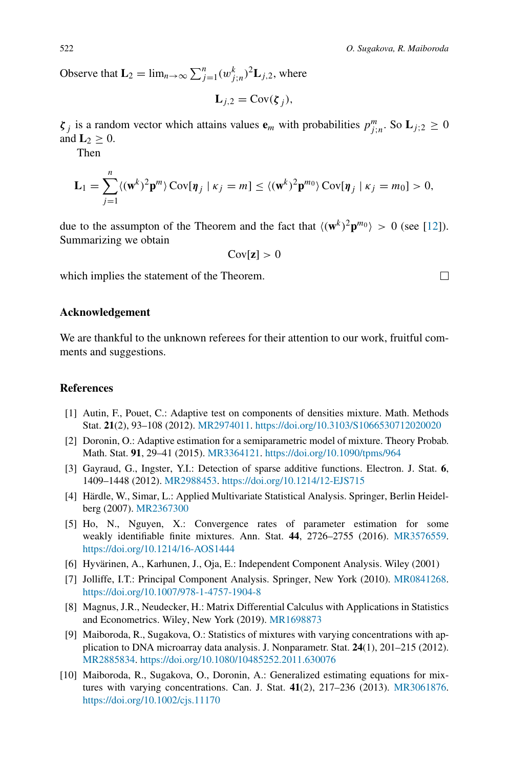Observe that  $\mathbf{L}_2 = \lim_{n \to \infty} \sum_{j=1}^n (w_{j,n}^k)^2 \mathbf{L}_{j,2}$ , where

$$
\mathbf{L}_{j,2} = \text{Cov}(\boldsymbol{\zeta}_j),
$$

*ζ*<sub>*j*</sub> is a random vector which attains values  $\mathbf{e}_m$  with probabilities  $p_{j;n}^m$ . So  $\mathbf{L}_{j;2} \geq 0$ and  $\mathbf{L}_2 > 0$ .

Then

*n*

$$
\mathbf{L}_1 = \sum_{j=1}^n \langle (\mathbf{w}^k)^2 \mathbf{p}^m \rangle \operatorname{Cov}[\boldsymbol{\eta}_j \mid \kappa_j = m] \le \langle (\mathbf{w}^k)^2 \mathbf{p}^{m_0} \rangle \operatorname{Cov}[\boldsymbol{\eta}_j \mid \kappa_j = m_0] > 0,
$$

due to the assumpton of the Theorem and the fact that  $\langle (\mathbf{w}^k)^2 \mathbf{p}^m \mathbf{0} \rangle > 0$  (see [\[12](#page-14-2)]). Summarizing we obtain

$$
\mathrm{Cov}[\mathbf{z}] > 0
$$

which implies the statement of the Theorem.

## **Acknowledgement**

We are thankful to the unknown referees for their attention to our work, fruitful comments and suggestions.

## **References**

- <span id="page-13-4"></span>[1] Autin, F., Pouet, C.: Adaptive test on components of densities mixture. Math. Methods Stat. **21**(2), 93–108 (2012). [MR2974011.](http://www.ams.org/mathscinet-getitem?mr=2974011) <https://doi.org/10.3103/S1066530712020020>
- <span id="page-13-3"></span>[2] Doronin, O.: Adaptive estimation for a semiparametric model of mixture. Theory Probab. Math. Stat. **91**, 29–41 (2015). [MR3364121.](http://www.ams.org/mathscinet-getitem?mr=3364121) <https://doi.org/10.1090/tpms/964>
- <span id="page-13-8"></span>[3] Gayraud, G., Ingster, Y.I.: Detection of sparse additive functions. Electron. J. Stat. **6**, 1409–1448 (2012). [MR2988453.](http://www.ams.org/mathscinet-getitem?mr=2988453) <https://doi.org/10.1214/12-EJS715>
- <span id="page-13-1"></span>[4] Härdle, W., Simar, L.: Applied Multivariate Statistical Analysis. Springer, Berlin Heidelberg (2007). [MR2367300](http://www.ams.org/mathscinet-getitem?mr=2367300)
- <span id="page-13-7"></span>[5] Ho, N., Nguyen, X.: Convergence rates of parameter estimation for some weakly identifiable finite mixtures. Ann. Stat. **44**, 2726–2755 (2016). [MR3576559.](http://www.ams.org/mathscinet-getitem?mr=3576559) <https://doi.org/10.1214/16-AOS1444>
- <span id="page-13-9"></span>[6] Hyvärinen, A., Karhunen, J., Oja, E.: Independent Component Analysis. Wiley (2001)
- <span id="page-13-0"></span>[7] Jolliffe, I.T.: Principal Component Analysis. Springer, New York (2010). [MR0841268.](http://www.ams.org/mathscinet-getitem?mr=0841268) <https://doi.org/10.1007/978-1-4757-1904-8>
- <span id="page-13-6"></span>[8] Magnus, J.R., Neudecker, H.: Matrix Differential Calculus with Applications in Statistics and Econometrics. Wiley, New York (2019). [MR1698873](http://www.ams.org/mathscinet-getitem?mr=1698873)
- <span id="page-13-2"></span>[9] Maiboroda, R., Sugakova, O.: Statistics of mixtures with varying concentrations with application to DNA microarray data analysis. J. Nonparametr. Stat. **24**(1), 201–215 (2012). [MR2885834.](http://www.ams.org/mathscinet-getitem?mr=2885834) <https://doi.org/10.1080/10485252.2011.630076>
- <span id="page-13-5"></span>[10] Maiboroda, R., Sugakova, O., Doronin, A.: Generalized estimating equations for mixtures with varying concentrations. Can. J. Stat. **41**(2), 217–236 (2013). [MR3061876.](http://www.ams.org/mathscinet-getitem?mr=3061876) <https://doi.org/10.1002/cjs.11170>

 $\Box$